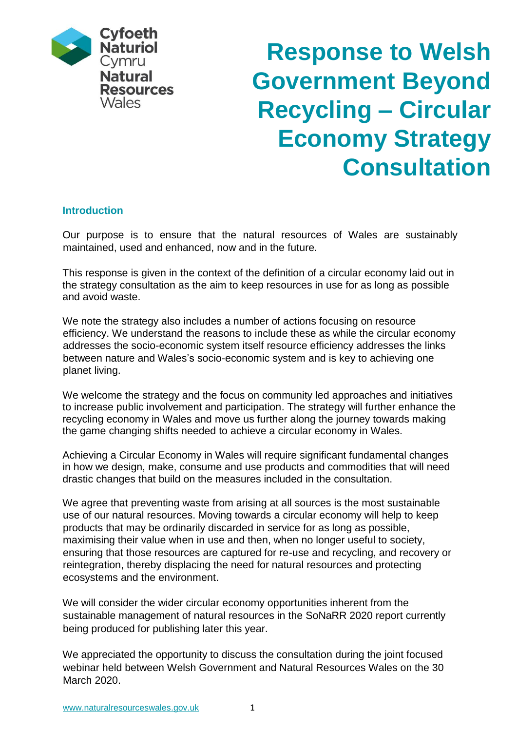

# **Response to Welsh Government Beyond Recycling – Circular Economy Strategy Consultation**

## **Introduction**

Our purpose is to ensure that the natural resources of Wales are sustainably maintained, used and enhanced, now and in the future.

This response is given in the context of the definition of a circular economy laid out in the strategy consultation as the aim to keep resources in use for as long as possible and avoid waste.

We note the strategy also includes a number of actions focusing on resource efficiency. We understand the reasons to include these as while the circular economy addresses the socio-economic system itself resource efficiency addresses the links between nature and Wales's socio-economic system and is key to achieving one planet living.

We welcome the strategy and the focus on community led approaches and initiatives to increase public involvement and participation. The strategy will further enhance the recycling economy in Wales and move us further along the journey towards making the game changing shifts needed to achieve a circular economy in Wales.

Achieving a Circular Economy in Wales will require significant fundamental changes in how we design, make, consume and use products and commodities that will need drastic changes that build on the measures included in the consultation.

We agree that preventing waste from arising at all sources is the most sustainable use of our natural resources. Moving towards a circular economy will help to keep products that may be ordinarily discarded in service for as long as possible, maximising their value when in use and then, when no longer useful to society, ensuring that those resources are captured for re-use and recycling, and recovery or reintegration, thereby displacing the need for natural resources and protecting ecosystems and the environment.

We will consider the wider circular economy opportunities inherent from the sustainable management of natural resources in the SoNaRR 2020 report currently being produced for publishing later this year.

We appreciated the opportunity to discuss the consultation during the joint focused webinar held between Welsh Government and Natural Resources Wales on the 30 March 2020.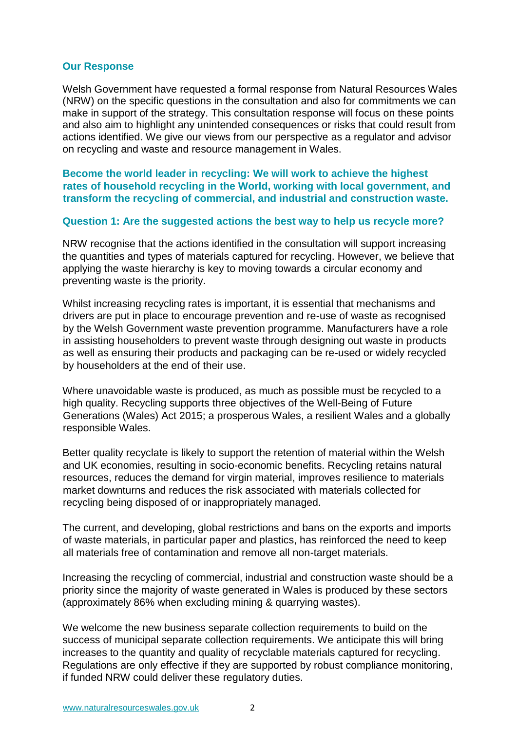#### **Our Response**

Welsh Government have requested a formal response from Natural Resources Wales (NRW) on the specific questions in the consultation and also for commitments we can make in support of the strategy. This consultation response will focus on these points and also aim to highlight any unintended consequences or risks that could result from actions identified. We give our views from our perspective as a regulator and advisor on recycling and waste and resource management in Wales.

**Become the world leader in recycling: We will work to achieve the highest rates of household recycling in the World, working with local government, and transform the recycling of commercial, and industrial and construction waste.** 

#### **Question 1: Are the suggested actions the best way to help us recycle more?**

NRW recognise that the actions identified in the consultation will support increasing the quantities and types of materials captured for recycling. However, we believe that applying the waste hierarchy is key to moving towards a circular economy and preventing waste is the priority.

Whilst increasing recycling rates is important, it is essential that mechanisms and drivers are put in place to encourage prevention and re-use of waste as recognised by the Welsh Government waste prevention programme. Manufacturers have a role in assisting householders to prevent waste through designing out waste in products as well as ensuring their products and packaging can be re-used or widely recycled by householders at the end of their use.

Where unavoidable waste is produced, as much as possible must be recycled to a high quality. Recycling supports three objectives of the Well-Being of Future Generations (Wales) Act 2015; a prosperous Wales, a resilient Wales and a globally responsible Wales.

Better quality recyclate is likely to support the retention of material within the Welsh and UK economies, resulting in socio-economic benefits. Recycling retains natural resources, reduces the demand for virgin material, improves resilience to materials market downturns and reduces the risk associated with materials collected for recycling being disposed of or inappropriately managed.

The current, and developing, global restrictions and bans on the exports and imports of waste materials, in particular paper and plastics, has reinforced the need to keep all materials free of contamination and remove all non-target materials.

Increasing the recycling of commercial, industrial and construction waste should be a priority since the majority of waste generated in Wales is produced by these sectors (approximately 86% when excluding mining & quarrying wastes).

We welcome the new business separate collection requirements to build on the success of municipal separate collection requirements. We anticipate this will bring increases to the quantity and quality of recyclable materials captured for recycling. Regulations are only effective if they are supported by robust compliance monitoring, if funded NRW could deliver these regulatory duties.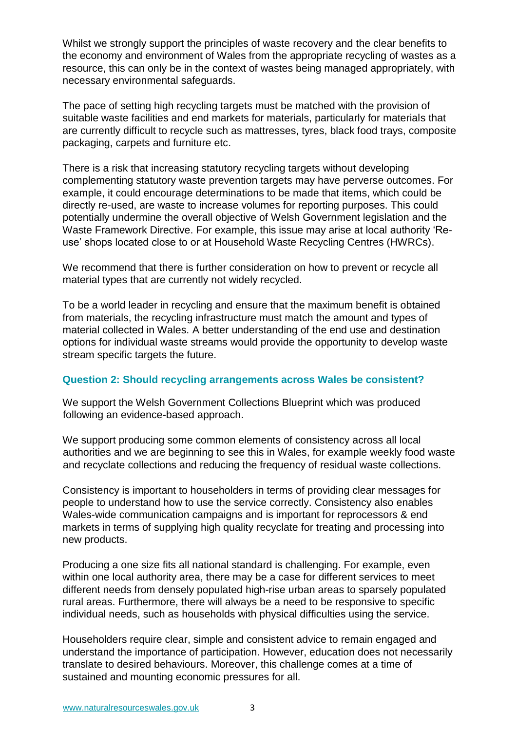Whilst we strongly support the principles of waste recovery and the clear benefits to the economy and environment of Wales from the appropriate recycling of wastes as a resource, this can only be in the context of wastes being managed appropriately, with necessary environmental safeguards.

The pace of setting high recycling targets must be matched with the provision of suitable waste facilities and end markets for materials, particularly for materials that are currently difficult to recycle such as mattresses, tyres, black food trays, composite packaging, carpets and furniture etc.

There is a risk that increasing statutory recycling targets without developing complementing statutory waste prevention targets may have perverse outcomes. For example, it could encourage determinations to be made that items, which could be directly re-used, are waste to increase volumes for reporting purposes. This could potentially undermine the overall objective of Welsh Government legislation and the Waste Framework Directive. For example, this issue may arise at local authority 'Reuse' shops located close to or at Household Waste Recycling Centres (HWRCs).

We recommend that there is further consideration on how to prevent or recycle all material types that are currently not widely recycled.

To be a world leader in recycling and ensure that the maximum benefit is obtained from materials, the recycling infrastructure must match the amount and types of material collected in Wales. A better understanding of the end use and destination options for individual waste streams would provide the opportunity to develop waste stream specific targets the future.

## **Question 2: Should recycling arrangements across Wales be consistent?**

We support the Welsh Government Collections Blueprint which was produced following an evidence-based approach.

We support producing some common elements of consistency across all local authorities and we are beginning to see this in Wales, for example weekly food waste and recyclate collections and reducing the frequency of residual waste collections.

Consistency is important to householders in terms of providing clear messages for people to understand how to use the service correctly. Consistency also enables Wales-wide communication campaigns and is important for reprocessors & end markets in terms of supplying high quality recyclate for treating and processing into new products.

Producing a one size fits all national standard is challenging. For example, even within one local authority area, there may be a case for different services to meet different needs from densely populated high-rise urban areas to sparsely populated rural areas. Furthermore, there will always be a need to be responsive to specific individual needs, such as households with physical difficulties using the service.

Householders require clear, simple and consistent advice to remain engaged and understand the importance of participation. However, education does not necessarily translate to desired behaviours. Moreover, this challenge comes at a time of sustained and mounting economic pressures for all.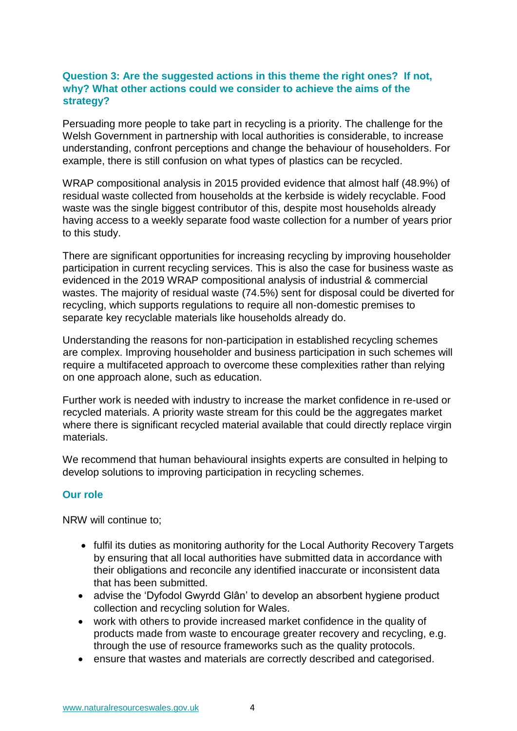# **Question 3: Are the suggested actions in this theme the right ones? If not, why? What other actions could we consider to achieve the aims of the strategy?**

Persuading more people to take part in recycling is a priority. The challenge for the Welsh Government in partnership with local authorities is considerable, to increase understanding, confront perceptions and change the behaviour of householders. For example, there is still confusion on what types of plastics can be recycled.

WRAP compositional analysis in 2015 provided evidence that almost half (48.9%) of residual waste collected from households at the kerbside is widely recyclable. Food waste was the single biggest contributor of this, despite most households already having access to a weekly separate food waste collection for a number of years prior to this study.

There are significant opportunities for increasing recycling by improving householder participation in current recycling services. This is also the case for business waste as evidenced in the 2019 WRAP compositional analysis of industrial & commercial wastes. The majority of residual waste (74.5%) sent for disposal could be diverted for recycling, which supports regulations to require all non-domestic premises to separate key recyclable materials like households already do.

Understanding the reasons for non-participation in established recycling schemes are complex. Improving householder and business participation in such schemes will require a multifaceted approach to overcome these complexities rather than relying on one approach alone, such as education.

Further work is needed with industry to increase the market confidence in re-used or recycled materials. A priority waste stream for this could be the aggregates market where there is significant recycled material available that could directly replace virgin materials.

We recommend that human behavioural insights experts are consulted in helping to develop solutions to improving participation in recycling schemes.

## **Our role**

NRW will continue to;

- fulfil its duties as monitoring authority for the Local Authority Recovery Targets by ensuring that all local authorities have submitted data in accordance with their obligations and reconcile any identified inaccurate or inconsistent data that has been submitted.
- advise the 'Dyfodol Gwyrdd Glân' to develop an absorbent hygiene product collection and recycling solution for Wales.
- work with others to provide increased market confidence in the quality of products made from waste to encourage greater recovery and recycling, e.g. through the use of resource frameworks such as the quality protocols.
- ensure that wastes and materials are correctly described and categorised.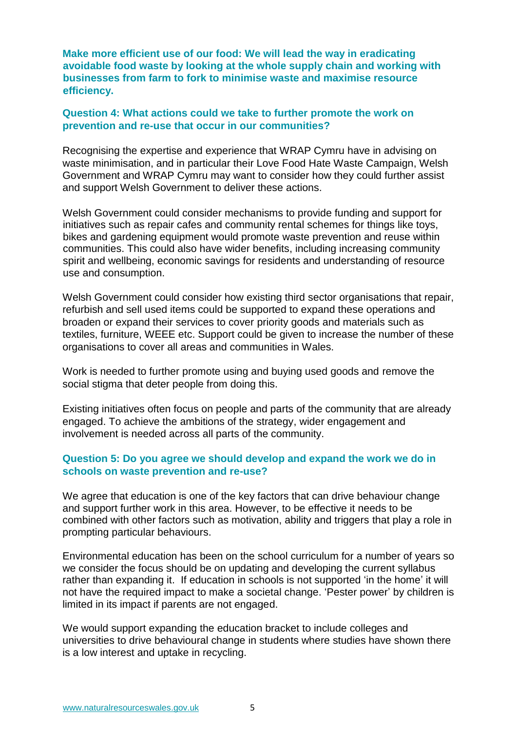**Make more efficient use of our food: We will lead the way in eradicating avoidable food waste by looking at the whole supply chain and working with businesses from farm to fork to minimise waste and maximise resource efficiency.** 

#### **Question 4: What actions could we take to further promote the work on prevention and re-use that occur in our communities?**

Recognising the expertise and experience that WRAP Cymru have in advising on waste minimisation, and in particular their Love Food Hate Waste Campaign, Welsh Government and WRAP Cymru may want to consider how they could further assist and support Welsh Government to deliver these actions.

Welsh Government could consider mechanisms to provide funding and support for initiatives such as repair cafes and community rental schemes for things like toys, bikes and gardening equipment would promote waste prevention and reuse within communities. This could also have wider benefits, including increasing community spirit and wellbeing, economic savings for residents and understanding of resource use and consumption.

Welsh Government could consider how existing third sector organisations that repair, refurbish and sell used items could be supported to expand these operations and broaden or expand their services to cover priority goods and materials such as textiles, furniture, WEEE etc. Support could be given to increase the number of these organisations to cover all areas and communities in Wales.

Work is needed to further promote using and buying used goods and remove the social stigma that deter people from doing this.

Existing initiatives often focus on people and parts of the community that are already engaged. To achieve the ambitions of the strategy, wider engagement and involvement is needed across all parts of the community.

## **Question 5: Do you agree we should develop and expand the work we do in schools on waste prevention and re-use?**

We agree that education is one of the key factors that can drive behaviour change and support further work in this area. However, to be effective it needs to be combined with other factors such as motivation, ability and triggers that play a role in prompting particular behaviours.

Environmental education has been on the school curriculum for a number of years so we consider the focus should be on updating and developing the current syllabus rather than expanding it. If education in schools is not supported 'in the home' it will not have the required impact to make a societal change. 'Pester power' by children is limited in its impact if parents are not engaged.

We would support expanding the education bracket to include colleges and universities to drive behavioural change in students where studies have shown there is a low interest and uptake in recycling.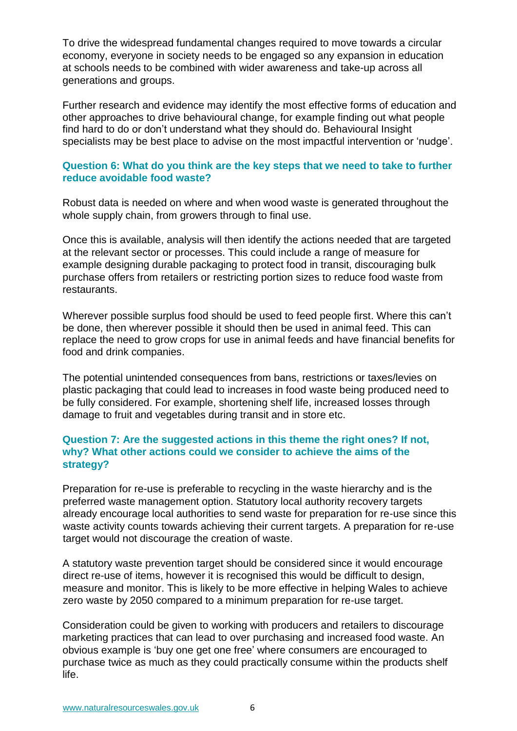To drive the widespread fundamental changes required to move towards a circular economy, everyone in society needs to be engaged so any expansion in education at schools needs to be combined with wider awareness and take-up across all generations and groups.

Further research and evidence may identify the most effective forms of education and other approaches to drive behavioural change, for example finding out what people find hard to do or don't understand what they should do. Behavioural Insight specialists may be best place to advise on the most impactful intervention or 'nudge'.

## **Question 6: What do you think are the key steps that we need to take to further reduce avoidable food waste?**

Robust data is needed on where and when wood waste is generated throughout the whole supply chain, from growers through to final use.

Once this is available, analysis will then identify the actions needed that are targeted at the relevant sector or processes. This could include a range of measure for example designing durable packaging to protect food in transit, discouraging bulk purchase offers from retailers or restricting portion sizes to reduce food waste from restaurants.

Wherever possible surplus food should be used to feed people first. Where this can't be done, then wherever possible it should then be used in animal feed. This can replace the need to grow crops for use in animal feeds and have financial benefits for food and drink companies.

The potential unintended consequences from bans, restrictions or taxes/levies on plastic packaging that could lead to increases in food waste being produced need to be fully considered. For example, shortening shelf life, increased losses through damage to fruit and vegetables during transit and in store etc.

## **Question 7: Are the suggested actions in this theme the right ones? If not, why? What other actions could we consider to achieve the aims of the strategy?**

Preparation for re-use is preferable to recycling in the waste hierarchy and is the preferred waste management option. Statutory local authority recovery targets already encourage local authorities to send waste for preparation for re-use since this waste activity counts towards achieving their current targets. A preparation for re-use target would not discourage the creation of waste.

A statutory waste prevention target should be considered since it would encourage direct re-use of items, however it is recognised this would be difficult to design, measure and monitor. This is likely to be more effective in helping Wales to achieve zero waste by 2050 compared to a minimum preparation for re-use target.

Consideration could be given to working with producers and retailers to discourage marketing practices that can lead to over purchasing and increased food waste. An obvious example is 'buy one get one free' where consumers are encouraged to purchase twice as much as they could practically consume within the products shelf life.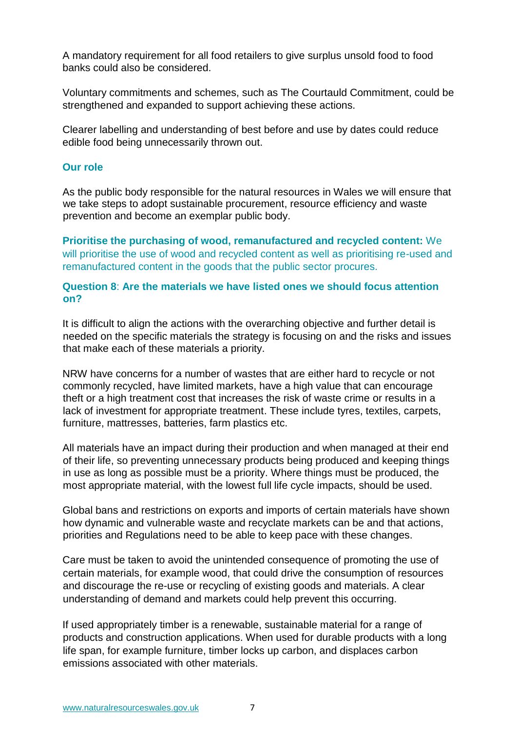A mandatory requirement for all food retailers to give surplus unsold food to food banks could also be considered.

Voluntary commitments and schemes, such as The Courtauld Commitment, could be strengthened and expanded to support achieving these actions.

Clearer labelling and understanding of best before and use by dates could reduce edible food being unnecessarily thrown out.

#### **Our role**

As the public body responsible for the natural resources in Wales we will ensure that we take steps to adopt sustainable procurement, resource efficiency and waste prevention and become an exemplar public body.

**Prioritise the purchasing of wood, remanufactured and recycled content:** We will prioritise the use of wood and recycled content as well as prioritising re-used and remanufactured content in the goods that the public sector procures.

## **Question 8**: **Are the materials we have listed ones we should focus attention on?**

It is difficult to align the actions with the overarching objective and further detail is needed on the specific materials the strategy is focusing on and the risks and issues that make each of these materials a priority.

NRW have concerns for a number of wastes that are either hard to recycle or not commonly recycled, have limited markets, have a high value that can encourage theft or a high treatment cost that increases the risk of waste crime or results in a lack of investment for appropriate treatment. These include tyres, textiles, carpets, furniture, mattresses, batteries, farm plastics etc.

All materials have an impact during their production and when managed at their end of their life, so preventing unnecessary products being produced and keeping things in use as long as possible must be a priority. Where things must be produced, the most appropriate material, with the lowest full life cycle impacts, should be used.

Global bans and restrictions on exports and imports of certain materials have shown how dynamic and vulnerable waste and recyclate markets can be and that actions, priorities and Regulations need to be able to keep pace with these changes.

Care must be taken to avoid the unintended consequence of promoting the use of certain materials, for example wood, that could drive the consumption of resources and discourage the re-use or recycling of existing goods and materials. A clear understanding of demand and markets could help prevent this occurring.

If used appropriately timber is a renewable, sustainable material for a range of products and construction applications. When used for durable products with a long life span, for example furniture, timber locks up carbon, and displaces carbon emissions associated with other materials.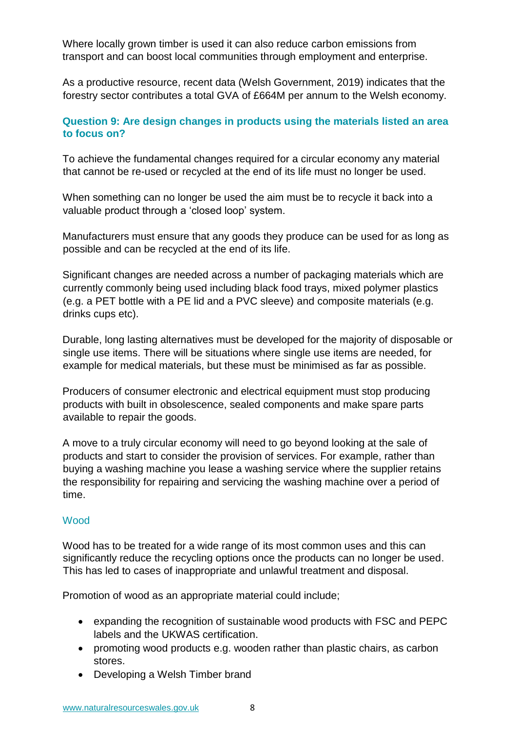Where locally grown timber is used it can also reduce carbon emissions from transport and can boost local communities through employment and enterprise.

As a productive resource, recent data (Welsh Government, 2019) indicates that the forestry sector contributes a total GVA of £664M per annum to the Welsh economy.

# **Question 9: Are design changes in products using the materials listed an area to focus on?**

To achieve the fundamental changes required for a circular economy any material that cannot be re-used or recycled at the end of its life must no longer be used.

When something can no longer be used the aim must be to recycle it back into a valuable product through a 'closed loop' system.

Manufacturers must ensure that any goods they produce can be used for as long as possible and can be recycled at the end of its life.

Significant changes are needed across a number of packaging materials which are currently commonly being used including black food trays, mixed polymer plastics (e.g. a PET bottle with a PE lid and a PVC sleeve) and composite materials (e.g. drinks cups etc).

Durable, long lasting alternatives must be developed for the majority of disposable or single use items. There will be situations where single use items are needed, for example for medical materials, but these must be minimised as far as possible.

Producers of consumer electronic and electrical equipment must stop producing products with built in obsolescence, sealed components and make spare parts available to repair the goods.

A move to a truly circular economy will need to go beyond looking at the sale of products and start to consider the provision of services. For example, rather than buying a washing machine you lease a washing service where the supplier retains the responsibility for repairing and servicing the washing machine over a period of time.

## Wood

Wood has to be treated for a wide range of its most common uses and this can significantly reduce the recycling options once the products can no longer be used. This has led to cases of inappropriate and unlawful treatment and disposal.

Promotion of wood as an appropriate material could include;

- expanding the recognition of sustainable wood products with FSC and PEPC labels and the UKWAS certification.
- promoting wood products e.g. wooden rather than plastic chairs, as carbon stores.
- Developing a Welsh Timber brand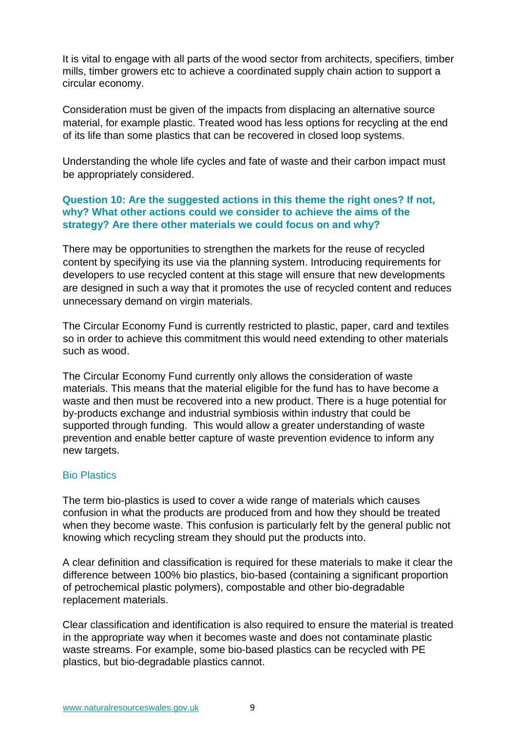It is vital to engage with all parts of the wood sector from architects, specifiers, timber mills, timber growers etc to achieve a coordinated supply chain action to support a circular economy.

Consideration must be given of the impacts from displacing an alternative source material, for example plastic. Treated wood has less options for recycling at the end of its life than some plastics that can be recovered in closed loop systems.

Understanding the whole life cycles and fate of waste and their carbon impact must be appropriately considered.

## **Question 10: Are the suggested actions in this theme the right ones? If not, why? What other actions could we consider to achieve the aims of the strategy? Are there other materials we could focus on and why?**

There may be opportunities to strengthen the markets for the reuse of recycled content by specifying its use via the planning system. Introducing requirements for developers to use recycled content at this stage will ensure that new developments are designed in such a way that it promotes the use of recycled content and reduces unnecessary demand on virgin materials.

The Circular Economy Fund is currently restricted to plastic, paper, card and textiles so in order to achieve this commitment this would need extending to other materials such as wood.

The Circular Economy Fund currently only allows the consideration of waste materials. This means that the material eligible for the fund has to have become a waste and then must be recovered into a new product. There is a huge potential for by-products exchange and industrial symbiosis within industry that could be supported through funding. This would allow a greater understanding of waste prevention and enable better capture of waste prevention evidence to inform any new targets.

## Bio Plastics

The term bio-plastics is used to cover a wide range of materials which causes confusion in what the products are produced from and how they should be treated when they become waste. This confusion is particularly felt by the general public not knowing which recycling stream they should put the products into.

A clear definition and classification is required for these materials to make it clear the difference between 100% bio plastics, bio-based (containing a significant proportion of petrochemical plastic polymers), compostable and other bio-degradable replacement materials.

Clear classification and identification is also required to ensure the material is treated in the appropriate way when it becomes waste and does not contaminate plastic waste streams. For example, some bio-based plastics can be recycled with PE plastics, but bio-degradable plastics cannot.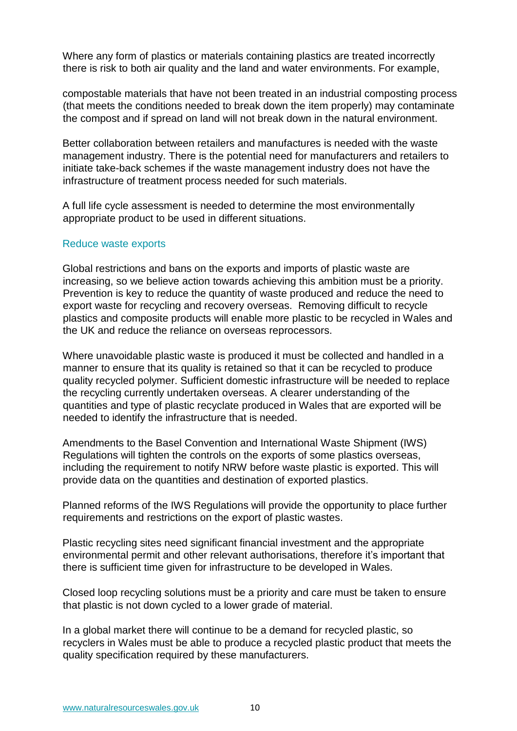Where any form of plastics or materials containing plastics are treated incorrectly there is risk to both air quality and the land and water environments. For example,

compostable materials that have not been treated in an industrial composting process (that meets the conditions needed to break down the item properly) may contaminate the compost and if spread on land will not break down in the natural environment.

Better collaboration between retailers and manufactures is needed with the waste management industry. There is the potential need for manufacturers and retailers to initiate take-back schemes if the waste management industry does not have the infrastructure of treatment process needed for such materials.

A full life cycle assessment is needed to determine the most environmentally appropriate product to be used in different situations.

#### Reduce waste exports

Global restrictions and bans on the exports and imports of plastic waste are increasing, so we believe action towards achieving this ambition must be a priority. Prevention is key to reduce the quantity of waste produced and reduce the need to export waste for recycling and recovery overseas. Removing difficult to recycle plastics and composite products will enable more plastic to be recycled in Wales and the UK and reduce the reliance on overseas reprocessors.

Where unavoidable plastic waste is produced it must be collected and handled in a manner to ensure that its quality is retained so that it can be recycled to produce quality recycled polymer. Sufficient domestic infrastructure will be needed to replace the recycling currently undertaken overseas. A clearer understanding of the quantities and type of plastic recyclate produced in Wales that are exported will be needed to identify the infrastructure that is needed.

Amendments to the Basel Convention and International Waste Shipment (IWS) Regulations will tighten the controls on the exports of some plastics overseas, including the requirement to notify NRW before waste plastic is exported. This will provide data on the quantities and destination of exported plastics.

Planned reforms of the IWS Regulations will provide the opportunity to place further requirements and restrictions on the export of plastic wastes.

Plastic recycling sites need significant financial investment and the appropriate environmental permit and other relevant authorisations, therefore it's important that there is sufficient time given for infrastructure to be developed in Wales.

Closed loop recycling solutions must be a priority and care must be taken to ensure that plastic is not down cycled to a lower grade of material.

In a global market there will continue to be a demand for recycled plastic, so recyclers in Wales must be able to produce a recycled plastic product that meets the quality specification required by these manufacturers.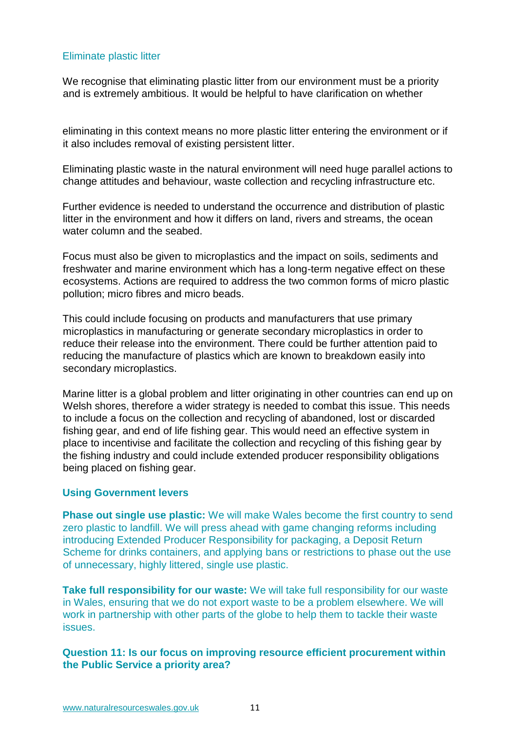## Eliminate plastic litter

We recognise that eliminating plastic litter from our environment must be a priority and is extremely ambitious. It would be helpful to have clarification on whether

eliminating in this context means no more plastic litter entering the environment or if it also includes removal of existing persistent litter.

Eliminating plastic waste in the natural environment will need huge parallel actions to change attitudes and behaviour, waste collection and recycling infrastructure etc.

Further evidence is needed to understand the occurrence and distribution of plastic litter in the environment and how it differs on land, rivers and streams, the ocean water column and the seabed.

Focus must also be given to microplastics and the impact on soils, sediments and freshwater and marine environment which has a long-term negative effect on these ecosystems. Actions are required to address the two common forms of micro plastic pollution; micro fibres and micro beads.

This could include focusing on products and manufacturers that use primary microplastics in manufacturing or generate secondary microplastics in order to reduce their release into the environment. There could be further attention paid to reducing the manufacture of plastics which are known to breakdown easily into secondary microplastics.

Marine litter is a global problem and litter originating in other countries can end up on Welsh shores, therefore a wider strategy is needed to combat this issue. This needs to include a focus on the collection and recycling of abandoned, lost or discarded fishing gear, and end of life fishing gear. This would need an effective system in place to incentivise and facilitate the collection and recycling of this fishing gear by the fishing industry and could include extended producer responsibility obligations being placed on fishing gear.

## **Using Government levers**

**Phase out single use plastic:** We will make Wales become the first country to send zero plastic to landfill. We will press ahead with game changing reforms including introducing Extended Producer Responsibility for packaging, a Deposit Return Scheme for drinks containers, and applying bans or restrictions to phase out the use of unnecessary, highly littered, single use plastic.

**Take full responsibility for our waste:** We will take full responsibility for our waste in Wales, ensuring that we do not export waste to be a problem elsewhere. We will work in partnership with other parts of the globe to help them to tackle their waste issues.

## **Question 11: Is our focus on improving resource efficient procurement within the Public Service a priority area?**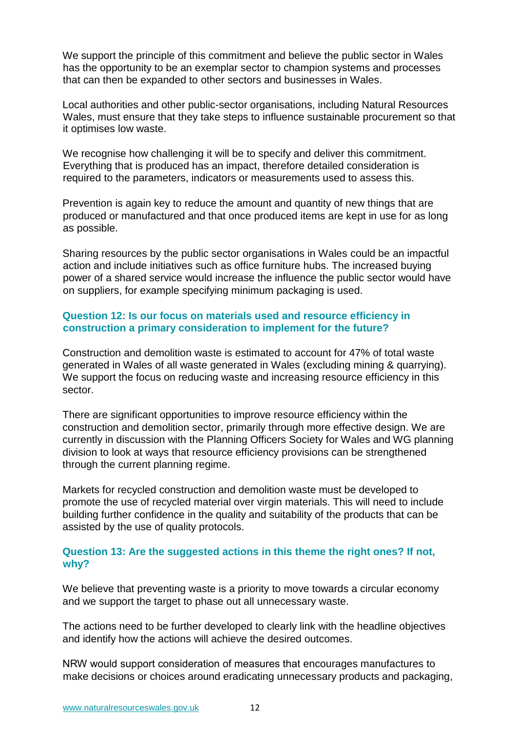We support the principle of this commitment and believe the public sector in Wales has the opportunity to be an exemplar sector to champion systems and processes that can then be expanded to other sectors and businesses in Wales.

Local authorities and other public-sector organisations, including Natural Resources Wales, must ensure that they take steps to influence sustainable procurement so that it optimises low waste.

We recognise how challenging it will be to specify and deliver this commitment. Everything that is produced has an impact, therefore detailed consideration is required to the parameters, indicators or measurements used to assess this.

Prevention is again key to reduce the amount and quantity of new things that are produced or manufactured and that once produced items are kept in use for as long as possible.

Sharing resources by the public sector organisations in Wales could be an impactful action and include initiatives such as office furniture hubs. The increased buying power of a shared service would increase the influence the public sector would have on suppliers, for example specifying minimum packaging is used.

## **Question 12: Is our focus on materials used and resource efficiency in construction a primary consideration to implement for the future?**

Construction and demolition waste is estimated to account for 47% of total waste generated in Wales of all waste generated in Wales (excluding mining & quarrying). We support the focus on reducing waste and increasing resource efficiency in this sector.

There are significant opportunities to improve resource efficiency within the construction and demolition sector, primarily through more effective design. We are currently in discussion with the Planning Officers Society for Wales and WG planning division to look at ways that resource efficiency provisions can be strengthened through the current planning regime.

Markets for recycled construction and demolition waste must be developed to promote the use of recycled material over virgin materials. This will need to include building further confidence in the quality and suitability of the products that can be assisted by the use of quality protocols.

## **Question 13: Are the suggested actions in this theme the right ones? If not, why?**

We believe that preventing waste is a priority to move towards a circular economy and we support the target to phase out all unnecessary waste.

The actions need to be further developed to clearly link with the headline objectives and identify how the actions will achieve the desired outcomes.

NRW would support consideration of measures that encourages manufactures to make decisions or choices around eradicating unnecessary products and packaging,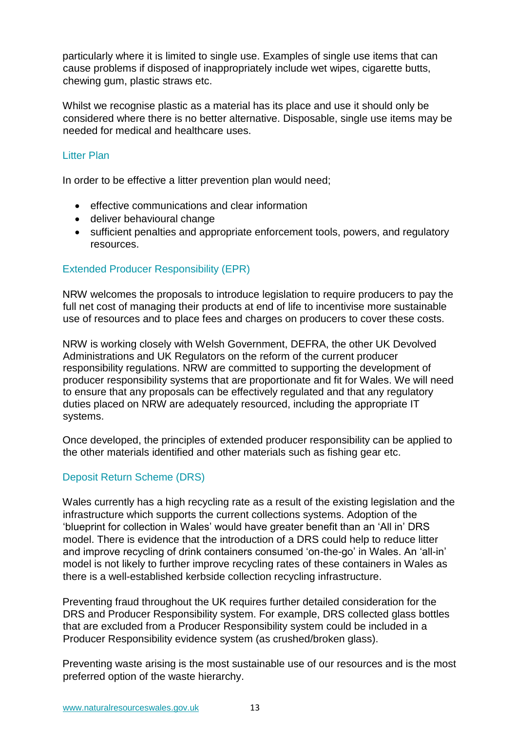particularly where it is limited to single use. Examples of single use items that can cause problems if disposed of inappropriately include wet wipes, cigarette butts, chewing gum, plastic straws etc.

Whilst we recognise plastic as a material has its place and use it should only be considered where there is no better alternative. Disposable, single use items may be needed for medical and healthcare uses.

## Litter Plan

In order to be effective a litter prevention plan would need;

- effective communications and clear information
- deliver behavioural change
- sufficient penalties and appropriate enforcement tools, powers, and regulatory resources.

## Extended Producer Responsibility (EPR)

NRW welcomes the proposals to introduce legislation to require producers to pay the full net cost of managing their products at end of life to incentivise more sustainable use of resources and to place fees and charges on producers to cover these costs.

NRW is working closely with Welsh Government, DEFRA, the other UK Devolved Administrations and UK Regulators on the reform of the current producer responsibility regulations. NRW are committed to supporting the development of producer responsibility systems that are proportionate and fit for Wales. We will need to ensure that any proposals can be effectively regulated and that any regulatory duties placed on NRW are adequately resourced, including the appropriate IT systems.

Once developed, the principles of extended producer responsibility can be applied to the other materials identified and other materials such as fishing gear etc.

# Deposit Return Scheme (DRS)

Wales currently has a high recycling rate as a result of the existing legislation and the infrastructure which supports the current collections systems. Adoption of the 'blueprint for collection in Wales' would have greater benefit than an 'All in' DRS model. There is evidence that the introduction of a DRS could help to reduce litter and improve recycling of drink containers consumed 'on-the-go' in Wales. An 'all-in' model is not likely to further improve recycling rates of these containers in Wales as there is a well-established kerbside collection recycling infrastructure.

Preventing fraud throughout the UK requires further detailed consideration for the DRS and Producer Responsibility system. For example, DRS collected glass bottles that are excluded from a Producer Responsibility system could be included in a Producer Responsibility evidence system (as crushed/broken glass).

Preventing waste arising is the most sustainable use of our resources and is the most preferred option of the waste hierarchy.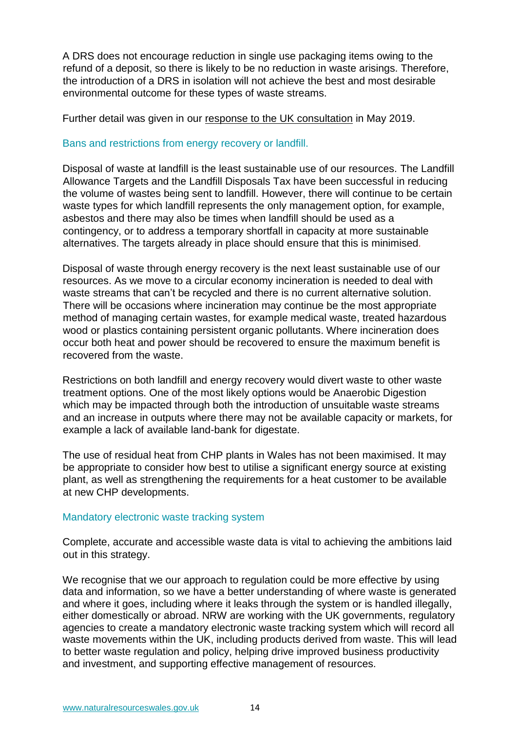A DRS does not encourage reduction in single use packaging items owing to the refund of a deposit, so there is likely to be no reduction in waste arisings. Therefore, the introduction of a DRS in isolation will not achieve the best and most desirable environmental outcome for these types of waste streams.

Further detail was given in our [response to the UK consultation](https://cdn.naturalresources.wales/media/688989/deposit-return-scheme-for-drinks-containers.pdf?mode=pad&rnd=132024834810000000) in May 2019.

## Bans and restrictions from energy recovery or landfill.

Disposal of waste at landfill is the least sustainable use of our resources. The Landfill Allowance Targets and the Landfill Disposals Tax have been successful in reducing the volume of wastes being sent to landfill. However, there will continue to be certain waste types for which landfill represents the only management option, for example, asbestos and there may also be times when landfill should be used as a contingency, or to address a temporary shortfall in capacity at more sustainable alternatives. The targets already in place should ensure that this is minimised*.*

Disposal of waste through energy recovery is the next least sustainable use of our resources. As we move to a circular economy incineration is needed to deal with waste streams that can't be recycled and there is no current alternative solution. There will be occasions where incineration may continue be the most appropriate method of managing certain wastes, for example medical waste, treated hazardous wood or plastics containing persistent organic pollutants. Where incineration does occur both heat and power should be recovered to ensure the maximum benefit is recovered from the waste.

Restrictions on both landfill and energy recovery would divert waste to other waste treatment options. One of the most likely options would be Anaerobic Digestion which may be impacted through both the introduction of unsuitable waste streams and an increase in outputs where there may not be available capacity or markets, for example a lack of available land-bank for digestate.

The use of residual heat from CHP plants in Wales has not been maximised. It may be appropriate to consider how best to utilise a significant energy source at existing plant, as well as strengthening the requirements for a heat customer to be available at new CHP developments.

#### Mandatory electronic waste tracking system

Complete, accurate and accessible waste data is vital to achieving the ambitions laid out in this strategy.

We recognise that we our approach to regulation could be more effective by using data and information, so we have a better understanding of where waste is generated and where it goes, including where it leaks through the system or is handled illegally, either domestically or abroad. NRW are working with the UK governments, regulatory agencies to create a mandatory electronic waste tracking system which will record all waste movements within the UK, including products derived from waste. This will lead to better waste regulation and policy, helping drive improved business productivity and investment, and supporting effective management of resources.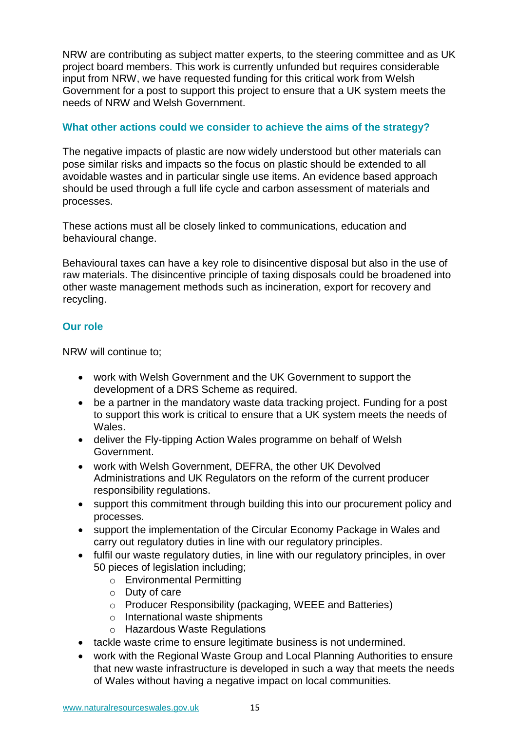NRW are contributing as subject matter experts, to the steering committee and as UK project board members. This work is currently unfunded but requires considerable input from NRW, we have requested funding for this critical work from Welsh Government for a post to support this project to ensure that a UK system meets the needs of NRW and Welsh Government.

## **What other actions could we consider to achieve the aims of the strategy?**

The negative impacts of plastic are now widely understood but other materials can pose similar risks and impacts so the focus on plastic should be extended to all avoidable wastes and in particular single use items. An evidence based approach should be used through a full life cycle and carbon assessment of materials and processes.

These actions must all be closely linked to communications, education and behavioural change.

Behavioural taxes can have a key role to disincentive disposal but also in the use of raw materials. The disincentive principle of taxing disposals could be broadened into other waste management methods such as incineration, export for recovery and recycling.

## **Our role**

NRW will continue to;

- work with Welsh Government and the UK Government to support the development of a DRS Scheme as required.
- be a partner in the mandatory waste data tracking project. Funding for a post to support this work is critical to ensure that a UK system meets the needs of Wales.
- deliver the Fly-tipping Action Wales programme on behalf of Welsh Government.
- work with Welsh Government, DEFRA, the other UK Devolved Administrations and UK Regulators on the reform of the current producer responsibility regulations.
- support this commitment through building this into our procurement policy and processes.
- support the implementation of the Circular Economy Package in Wales and carry out regulatory duties in line with our regulatory principles.
- fulfil our waste regulatory duties, in line with our regulatory principles, in over 50 pieces of legislation including;
	- o Environmental Permitting
	- o Duty of care
	- o Producer Responsibility (packaging, WEEE and Batteries)
	- o International waste shipments
	- o Hazardous Waste Regulations
- tackle waste crime to ensure legitimate business is not undermined.
- work with the Regional Waste Group and Local Planning Authorities to ensure that new waste infrastructure is developed in such a way that meets the needs of Wales without having a negative impact on local communities.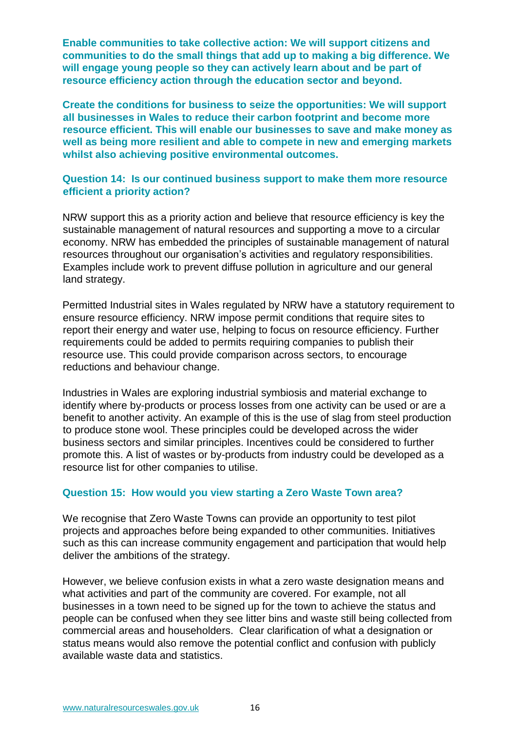**Enable communities to take collective action: We will support citizens and communities to do the small things that add up to making a big difference. We will engage young people so they can actively learn about and be part of resource efficiency action through the education sector and beyond.** 

**Create the conditions for business to seize the opportunities: We will support all businesses in Wales to reduce their carbon footprint and become more resource efficient. This will enable our businesses to save and make money as well as being more resilient and able to compete in new and emerging markets whilst also achieving positive environmental outcomes.** 

## **Question 14: Is our continued business support to make them more resource efficient a priority action?**

NRW support this as a priority action and believe that resource efficiency is key the sustainable management of natural resources and supporting a move to a circular economy. NRW has embedded the principles of sustainable management of natural resources throughout our organisation's activities and regulatory responsibilities. Examples include work to prevent diffuse pollution in agriculture and our general land strategy.

Permitted Industrial sites in Wales regulated by NRW have a statutory requirement to ensure resource efficiency. NRW impose permit conditions that require sites to report their energy and water use, helping to focus on resource efficiency. Further requirements could be added to permits requiring companies to publish their resource use. This could provide comparison across sectors, to encourage reductions and behaviour change.

Industries in Wales are exploring industrial symbiosis and material exchange to identify where by-products or process losses from one activity can be used or are a benefit to another activity. An example of this is the use of slag from steel production to produce stone wool. These principles could be developed across the wider business sectors and similar principles. Incentives could be considered to further promote this. A list of wastes or by-products from industry could be developed as a resource list for other companies to utilise.

## **Question 15: How would you view starting a Zero Waste Town area?**

We recognise that Zero Waste Towns can provide an opportunity to test pilot projects and approaches before being expanded to other communities. Initiatives such as this can increase community engagement and participation that would help deliver the ambitions of the strategy.

However, we believe confusion exists in what a zero waste designation means and what activities and part of the community are covered. For example, not all businesses in a town need to be signed up for the town to achieve the status and people can be confused when they see litter bins and waste still being collected from commercial areas and householders. Clear clarification of what a designation or status means would also remove the potential conflict and confusion with publicly available waste data and statistics.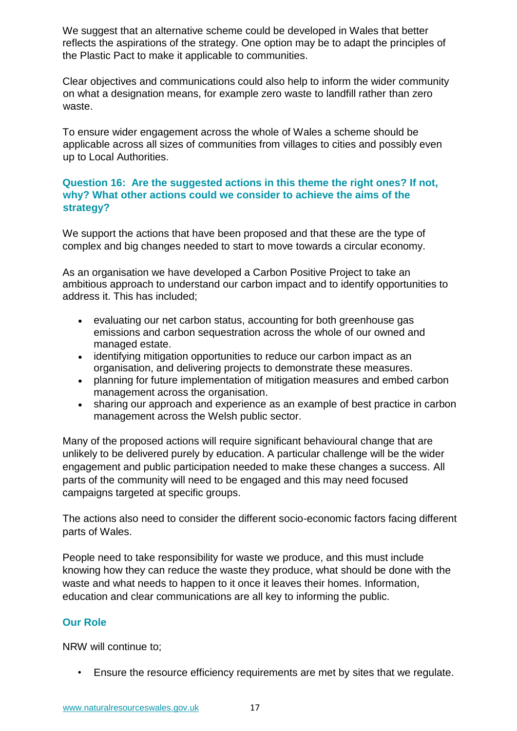We suggest that an alternative scheme could be developed in Wales that better reflects the aspirations of the strategy. One option may be to adapt the principles of the Plastic Pact to make it applicable to communities.

Clear objectives and communications could also help to inform the wider community on what a designation means, for example zero waste to landfill rather than zero waste.

To ensure wider engagement across the whole of Wales a scheme should be applicable across all sizes of communities from villages to cities and possibly even up to Local Authorities.

## **Question 16: Are the suggested actions in this theme the right ones? If not, why? What other actions could we consider to achieve the aims of the strategy?**

We support the actions that have been proposed and that these are the type of complex and big changes needed to start to move towards a circular economy.

As an organisation we have developed a Carbon Positive Project to take an ambitious approach to understand our carbon impact and to identify opportunities to address it. This has included;

- [evaluating our net carbon status,](http://naturalresources.wales/about-us/corporate-information/carbon-positive-project/calculating-our-net-carbon-status/?lang=en) accounting for both greenhouse gas emissions and carbon sequestration across the whole of our owned and managed estate.
- [identifying mitigation opportunities t](http://naturalresources.wales/about-us/corporate-information/carbon-positive-project/evaluating-mitigation-options/?lang=en)o reduce our carbon impact as an organisation, and [delivering projects to demonstrate these measures.](http://naturalresources.wales/about-us/corporate-information/carbon-positive-project/demonstration-projects/?lang=en)
- planning for future implementation of mitigation measures and [embed carbon](http://naturalresources.wales/about-us/corporate-information/carbon-positive-project/embedding-carbon-positive-in-nrw/?lang=en)  [management across the organisation.](http://naturalresources.wales/about-us/corporate-information/carbon-positive-project/embedding-carbon-positive-in-nrw/?lang=en)
- [sharing our approach and experience](https://naturalresources.wales/about-us/corporate-information/carbon-positive-project/project-materials/?lang=en) as an example of best practice in carbon management across the Welsh public sector.

Many of the proposed actions will require significant behavioural change that are unlikely to be delivered purely by education. A particular challenge will be the wider engagement and public participation needed to make these changes a success. All parts of the community will need to be engaged and this may need focused campaigns targeted at specific groups.

The actions also need to consider the different socio-economic factors facing different parts of Wales.

People need to take responsibility for waste we produce, and this must include knowing how they can reduce the waste they produce, what should be done with the waste and what needs to happen to it once it leaves their homes. Information, education and clear communications are all key to informing the public.

# **Our Role**

NRW will continue to;

• Ensure the resource efficiency requirements are met by sites that we regulate.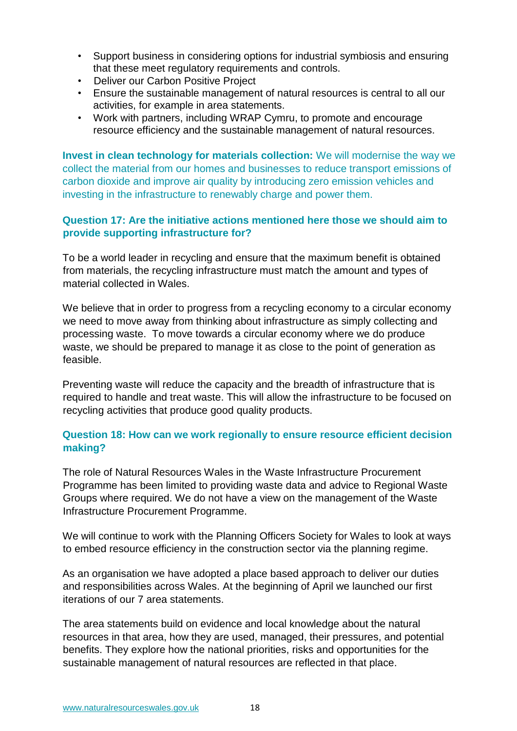- Support business in considering options for industrial symbiosis and ensuring that these meet regulatory requirements and controls.
- Deliver our Carbon Positive Project
- Ensure the sustainable management of natural resources is central to all our activities, for example in area statements.
- Work with partners, including WRAP Cymru, to promote and encourage resource efficiency and the sustainable management of natural resources.

**Invest in clean technology for materials collection:** We will modernise the way we collect the material from our homes and businesses to reduce transport emissions of carbon dioxide and improve air quality by introducing zero emission vehicles and investing in the infrastructure to renewably charge and power them.

## **Question 17: Are the initiative actions mentioned here those we should aim to provide supporting infrastructure for?**

To be a world leader in recycling and ensure that the maximum benefit is obtained from materials, the recycling infrastructure must match the amount and types of material collected in Wales.

We believe that in order to progress from a recycling economy to a circular economy we need to move away from thinking about infrastructure as simply collecting and processing waste. To move towards a circular economy where we do produce waste, we should be prepared to manage it as close to the point of generation as feasible.

Preventing waste will reduce the capacity and the breadth of infrastructure that is required to handle and treat waste. This will allow the infrastructure to be focused on recycling activities that produce good quality products.

# **Question 18: How can we work regionally to ensure resource efficient decision making?**

The role of Natural Resources Wales in the Waste Infrastructure Procurement Programme has been limited to providing waste data and advice to Regional Waste Groups where required. We do not have a view on the management of the Waste Infrastructure Procurement Programme.

We will continue to work with the Planning Officers Society for Wales to look at ways to embed resource efficiency in the construction sector via the planning regime.

As an organisation we have adopted a place based approach to deliver our duties and responsibilities across Wales. At the beginning of April we launched our first iterations of our 7 area statements.

The area statements build on evidence and local knowledge about the natural resources in that area, how they are used, managed, their pressures, and potential benefits. They explore how the national priorities, risks and opportunities for the sustainable management of natural resources are reflected in that place.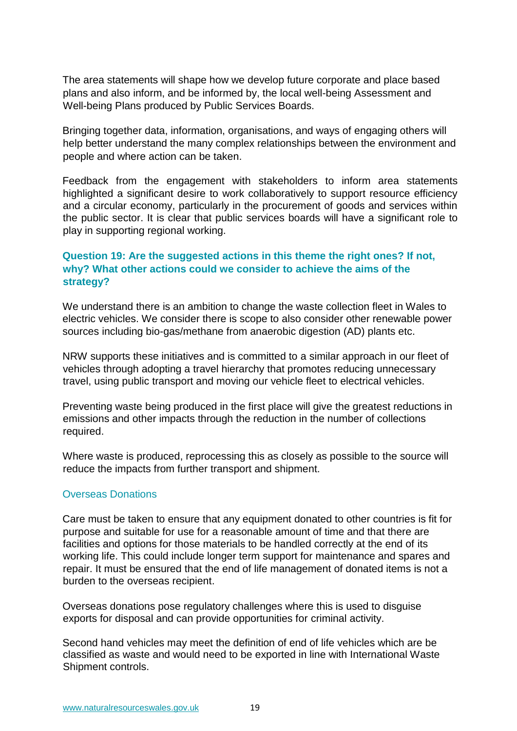The area statements will shape how we develop future corporate and place based plans and also inform, and be informed by, the local well-being Assessment and Well-being Plans produced by Public Services Boards.

Bringing together data, information, organisations, and ways of engaging others will help better understand the many complex relationships between the environment and people and where action can be taken.

Feedback from the engagement with stakeholders to inform area statements highlighted a significant desire to work collaboratively to support resource efficiency and a circular economy, particularly in the procurement of goods and services within the public sector. It is clear that public services boards will have a significant role to play in supporting regional working.

# **Question 19: Are the suggested actions in this theme the right ones? If not, why? What other actions could we consider to achieve the aims of the strategy?**

We understand there is an ambition to change the waste collection fleet in Wales to electric vehicles. We consider there is scope to also consider other renewable power sources including bio-gas/methane from anaerobic digestion (AD) plants etc.

NRW supports these initiatives and is committed to a similar approach in our fleet of vehicles through adopting a travel hierarchy that promotes reducing unnecessary travel, using public transport and moving our vehicle fleet to electrical vehicles.

Preventing waste being produced in the first place will give the greatest reductions in emissions and other impacts through the reduction in the number of collections required.

Where waste is produced, reprocessing this as closely as possible to the source will reduce the impacts from further transport and shipment.

## Overseas Donations

Care must be taken to ensure that any equipment donated to other countries is fit for purpose and suitable for use for a reasonable amount of time and that there are facilities and options for those materials to be handled correctly at the end of its working life. This could include longer term support for maintenance and spares and repair. It must be ensured that the end of life management of donated items is not a burden to the overseas recipient.

Overseas donations pose regulatory challenges where this is used to disguise exports for disposal and can provide opportunities for criminal activity.

Second hand vehicles may meet the definition of end of life vehicles which are be classified as waste and would need to be exported in line with International Waste Shipment controls.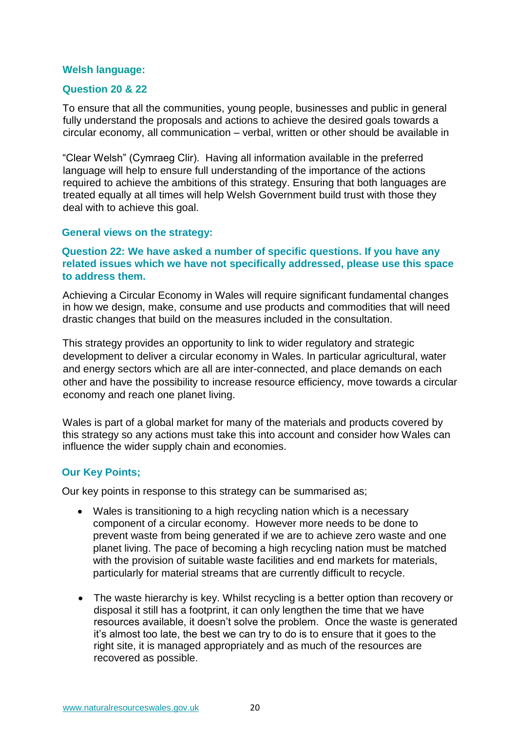#### **Welsh language:**

#### **Question 20 & 22**

To ensure that all the communities, young people, businesses and public in general fully understand the proposals and actions to achieve the desired goals towards a circular economy, all communication – verbal, written or other should be available in

"Clear Welsh" (Cymraeg Clir). Having all information available in the preferred language will help to ensure full understanding of the importance of the actions required to achieve the ambitions of this strategy. Ensuring that both languages are treated equally at all times will help Welsh Government build trust with those they deal with to achieve this goal.

#### **General views on the strategy:**

## **Question 22: We have asked a number of specific questions. If you have any related issues which we have not specifically addressed, please use this space to address them.**

Achieving a Circular Economy in Wales will require significant fundamental changes in how we design, make, consume and use products and commodities that will need drastic changes that build on the measures included in the consultation.

This strategy provides an opportunity to link to wider regulatory and strategic development to deliver a circular economy in Wales. In particular agricultural, water and energy sectors which are all are inter-connected, and place demands on each other and have the possibility to increase resource efficiency, move towards a circular economy and reach one planet living.

Wales is part of a global market for many of the materials and products covered by this strategy so any actions must take this into account and consider how Wales can influence the wider supply chain and economies.

## **Our Key Points;**

Our key points in response to this strategy can be summarised as;

- Wales is transitioning to a high recycling nation which is a necessary component of a circular economy. However more needs to be done to prevent waste from being generated if we are to achieve zero waste and one planet living. The pace of becoming a high recycling nation must be matched with the provision of suitable waste facilities and end markets for materials, particularly for material streams that are currently difficult to recycle.
- The waste hierarchy is key. Whilst recycling is a better option than recovery or disposal it still has a footprint, it can only lengthen the time that we have resources available, it doesn't solve the problem. Once the waste is generated it's almost too late, the best we can try to do is to ensure that it goes to the right site, it is managed appropriately and as much of the resources are recovered as possible.